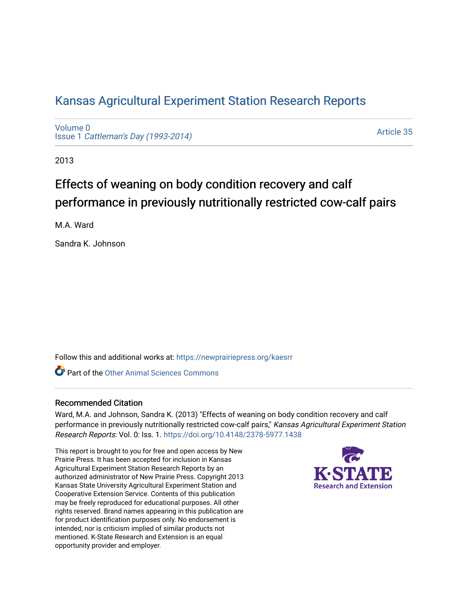## [Kansas Agricultural Experiment Station Research Reports](https://newprairiepress.org/kaesrr)

[Volume 0](https://newprairiepress.org/kaesrr/vol0) Issue 1 [Cattleman's Day \(1993-2014\)](https://newprairiepress.org/kaesrr/vol0/iss1) 

[Article 35](https://newprairiepress.org/kaesrr/vol0/iss1/35) 

2013

# Effects of weaning on body condition recovery and calf performance in previously nutritionally restricted cow-calf pairs

M.A. Ward

Sandra K. Johnson

Follow this and additional works at: [https://newprairiepress.org/kaesrr](https://newprairiepress.org/kaesrr?utm_source=newprairiepress.org%2Fkaesrr%2Fvol0%2Fiss1%2F35&utm_medium=PDF&utm_campaign=PDFCoverPages) 

**C** Part of the [Other Animal Sciences Commons](http://network.bepress.com/hgg/discipline/82?utm_source=newprairiepress.org%2Fkaesrr%2Fvol0%2Fiss1%2F35&utm_medium=PDF&utm_campaign=PDFCoverPages)

### Recommended Citation

Ward, M.A. and Johnson, Sandra K. (2013) "Effects of weaning on body condition recovery and calf performance in previously nutritionally restricted cow-calf pairs," Kansas Agricultural Experiment Station Research Reports: Vol. 0: Iss. 1.<https://doi.org/10.4148/2378-5977.1438>

This report is brought to you for free and open access by New Prairie Press. It has been accepted for inclusion in Kansas Agricultural Experiment Station Research Reports by an authorized administrator of New Prairie Press. Copyright 2013 Kansas State University Agricultural Experiment Station and Cooperative Extension Service. Contents of this publication may be freely reproduced for educational purposes. All other rights reserved. Brand names appearing in this publication are for product identification purposes only. No endorsement is intended, nor is criticism implied of similar products not mentioned. K-State Research and Extension is an equal opportunity provider and employer.

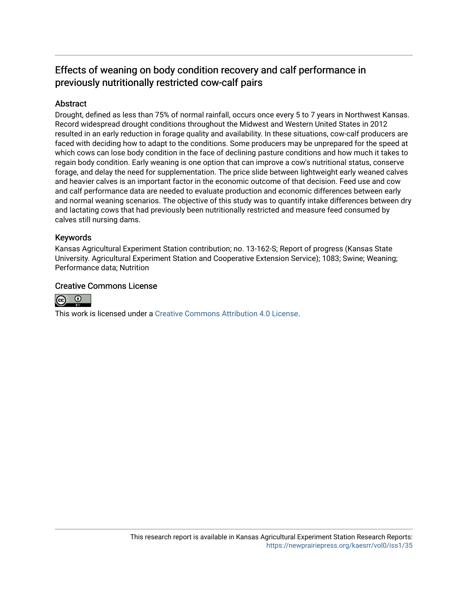## Effects of weaning on body condition recovery and calf performance in previously nutritionally restricted cow-calf pairs

### **Abstract**

Drought, defined as less than 75% of normal rainfall, occurs once every 5 to 7 years in Northwest Kansas. Record widespread drought conditions throughout the Midwest and Western United States in 2012 resulted in an early reduction in forage quality and availability. In these situations, cow-calf producers are faced with deciding how to adapt to the conditions. Some producers may be unprepared for the speed at which cows can lose body condition in the face of declining pasture conditions and how much it takes to regain body condition. Early weaning is one option that can improve a cow's nutritional status, conserve forage, and delay the need for supplementation. The price slide between lightweight early weaned calves and heavier calves is an important factor in the economic outcome of that decision. Feed use and cow and calf performance data are needed to evaluate production and economic differences between early and normal weaning scenarios. The objective of this study was to quantify intake differences between dry and lactating cows that had previously been nutritionally restricted and measure feed consumed by calves still nursing dams.

#### Keywords

Kansas Agricultural Experiment Station contribution; no. 13-162-S; Report of progress (Kansas State University. Agricultural Experiment Station and Cooperative Extension Service); 1083; Swine; Weaning; Performance data; Nutrition

### Creative Commons License



This work is licensed under a [Creative Commons Attribution 4.0 License](https://creativecommons.org/licenses/by/4.0/).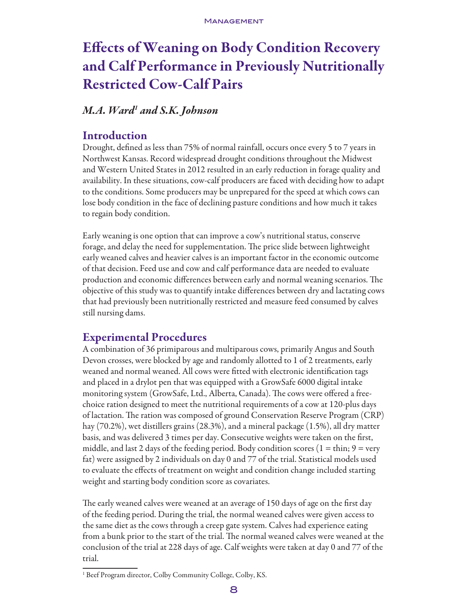# Effects of Weaning on Body Condition Recovery and Calf Performance in Previously Nutritionally Restricted Cow-Calf Pairs

## *M.A. Ward1 and S.K. Johnson*

## Introduction

Drought, defined as less than 75% of normal rainfall, occurs once every 5 to 7 years in Northwest Kansas. Record widespread drought conditions throughout the Midwest and Western United States in 2012 resulted in an early reduction in forage quality and availability. In these situations, cow-calf producers are faced with deciding how to adapt to the conditions. Some producers may be unprepared for the speed at which cows can lose body condition in the face of declining pasture conditions and how much it takes to regain body condition.

Early weaning is one option that can improve a cow's nutritional status, conserve forage, and delay the need for supplementation. The price slide between lightweight early weaned calves and heavier calves is an important factor in the economic outcome of that decision. Feed use and cow and calf performance data are needed to evaluate production and economic differences between early and normal weaning scenarios. The objective of this study was to quantify intake differences between dry and lactating cows that had previously been nutritionally restricted and measure feed consumed by calves still nursing dams.

## Experimental Procedures

A combination of 36 primiparous and multiparous cows, primarily Angus and South Devon crosses, were blocked by age and randomly allotted to 1 of 2 treatments, early weaned and normal weaned. All cows were fitted with electronic identification tags and placed in a drylot pen that was equipped with a GrowSafe 6000 digital intake monitoring system (GrowSafe, Ltd., Alberta, Canada). The cows were offered a freechoice ration designed to meet the nutritional requirements of a cow at 120-plus days of lactation. The ration was composed of ground Conservation Reserve Program (CRP) hay (70.2%), wet distillers grains (28.3%), and a mineral package (1.5%), all dry matter basis, and was delivered 3 times per day. Consecutive weights were taken on the first, middle, and last 2 days of the feeding period. Body condition scores ( $1 = \text{thin}$ ;  $9 = \text{very}$ ) fat) were assigned by 2 individuals on day 0 and 77 of the trial. Statistical models used to evaluate the effects of treatment on weight and condition change included starting weight and starting body condition score as covariates.

The early weaned calves were weaned at an average of 150 days of age on the first day of the feeding period. During the trial, the normal weaned calves were given access to the same diet as the cows through a creep gate system. Calves had experience eating from a bunk prior to the start of the trial. The normal weaned calves were weaned at the conclusion of the trial at 228 days of age. Calf weights were taken at day 0 and 77 of the trial.

<sup>&</sup>lt;sup>1</sup> Beef Program director, Colby Community College, Colby, KS.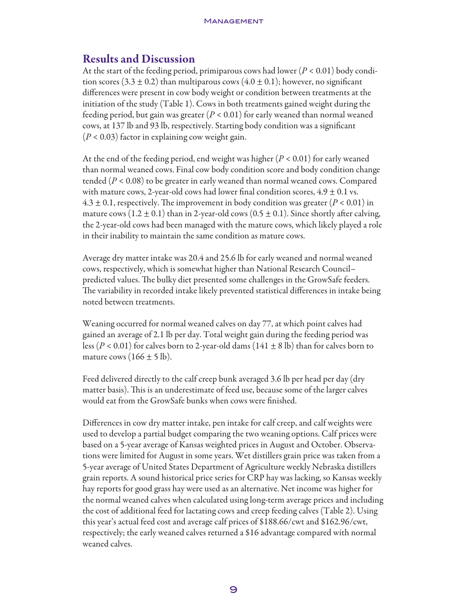### Results and Discussion

At the start of the feeding period, primiparous cows had lower (*P* < 0.01) body condition scores (3.3  $\pm$  0.2) than multiparous cows (4.0  $\pm$  0.1); however, no significant differences were present in cow body weight or condition between treatments at the initiation of the study (Table 1). Cows in both treatments gained weight during the feeding period, but gain was greater (*P* < 0.01) for early weaned than normal weaned cows, at 137 lb and 93 lb, respectively. Starting body condition was a significant (*P* < 0.03) factor in explaining cow weight gain.

At the end of the feeding period, end weight was higher (*P* < 0.01) for early weaned than normal weaned cows. Final cow body condition score and body condition change tended  $(P < 0.08)$  to be greater in early weaned than normal weaned cows. Compared with mature cows, 2-year-old cows had lower final condition scores,  $4.9 \pm 0.1$  vs.  $4.3 \pm 0.1$ , respectively. The improvement in body condition was greater ( $P < 0.01$ ) in mature cows (1.2  $\pm$  0.1) than in 2-year-old cows (0.5  $\pm$  0.1). Since shortly after calving, the 2-year-old cows had been managed with the mature cows, which likely played a role in their inability to maintain the same condition as mature cows.

Average dry matter intake was 20.4 and 25.6 lb for early weaned and normal weaned cows, respectively, which is somewhat higher than National Research Council– predicted values. The bulky diet presented some challenges in the GrowSafe feeders. The variability in recorded intake likely prevented statistical differences in intake being noted between treatments.

Weaning occurred for normal weaned calves on day 77, at which point calves had gained an average of 2.1 lb per day. Total weight gain during the feeding period was less ( $P < 0.01$ ) for calves born to 2-year-old dams ( $141 \pm 8$  lb) than for calves born to mature cows  $(166 \pm 5 \text{ lb})$ .

Feed delivered directly to the calf creep bunk averaged 3.6 lb per head per day (dry matter basis). This is an underestimate of feed use, because some of the larger calves would eat from the GrowSafe bunks when cows were finished.

Differences in cow dry matter intake, pen intake for calf creep, and calf weights were used to develop a partial budget comparing the two weaning options. Calf prices were based on a 5-year average of Kansas weighted prices in August and October. Observations were limited for August in some years. Wet distillers grain price was taken from a 5-year average of United States Department of Agriculture weekly Nebraska distillers grain reports. A sound historical price series for CRP hay was lacking, so Kansas weekly hay reports for good grass hay were used as an alternative. Net income was higher for the normal weaned calves when calculated using long-term average prices and including the cost of additional feed for lactating cows and creep feeding calves (Table 2). Using this year's actual feed cost and average calf prices of \$188.66/cwt and \$162.96/cwt, respectively; the early weaned calves returned a \$16 advantage compared with normal weaned calves.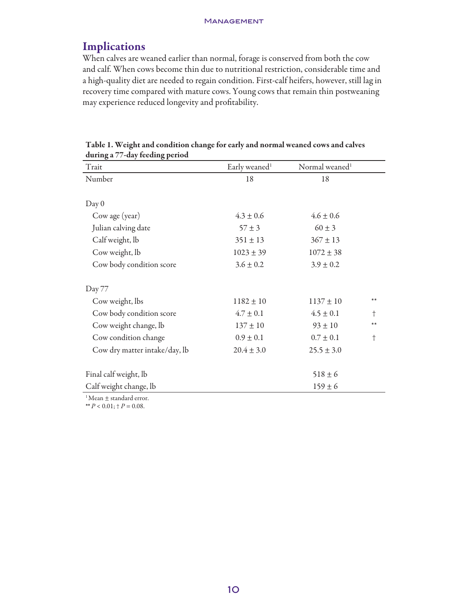## Implications

When calves are weaned earlier than normal, forage is conserved from both the cow and calf. When cows become thin due to nutritional restriction, considerable time and a high-quality diet are needed to regain condition. First-calf heifers, however, still lag in recovery time compared with mature cows. Young cows that remain thin postweaning may experience reduced longevity and profitability.

| $\mathbf{\sigma}$<br>0 L<br>Trait | Early weaned <sup>1</sup> | Normal weaned <sup>1</sup> |            |  |  |  |
|-----------------------------------|---------------------------|----------------------------|------------|--|--|--|
| Number                            | 18                        | 18                         |            |  |  |  |
|                                   |                           |                            |            |  |  |  |
| Day 0                             |                           |                            |            |  |  |  |
| Cow age (year)                    | $4.3 \pm 0.6$             | $4.6 \pm 0.6$              |            |  |  |  |
| Julian calving date               | $57 \pm 3$                | $60\pm3$                   |            |  |  |  |
| Calf weight, lb                   | $351 \pm 13$              | $367 \pm 13$               |            |  |  |  |
| Cow weight, lb                    | $1023 \pm 39$             | $1072 \pm 38$              |            |  |  |  |
| Cow body condition score          | $3.6 \pm 0.2$             | $3.9 \pm 0.2$              |            |  |  |  |
|                                   |                           |                            |            |  |  |  |
| Day 77                            |                           |                            |            |  |  |  |
| Cow weight, lbs                   | $1182 \pm 10$             | $1137 \pm 10$              | $**$       |  |  |  |
| Cow body condition score          | $4.7 \pm 0.1$             | $4.5 \pm 0.1$              | $\dagger$  |  |  |  |
| Cow weight change, lb             | $137 \pm 10$              | $93 \pm 10$                | $***$      |  |  |  |
| Cow condition change              | $0.9 \pm 0.1$             | $0.7 \pm 0.1$              | $^\dagger$ |  |  |  |
| Cow dry matter intake/day, lb     | $20.4 \pm 3.0$            | $25.5 \pm 3.0$             |            |  |  |  |
|                                   |                           |                            |            |  |  |  |
| Final calf weight, lb             |                           | $518 \pm 6$                |            |  |  |  |
| Calf weight change, lb            |                           | $159 \pm 6$                |            |  |  |  |
|                                   |                           |                            |            |  |  |  |

| Table 1. Weight and condition change for early and normal weaned cows and calves |  |  |  |
|----------------------------------------------------------------------------------|--|--|--|
| during a 77-day feeding period                                                   |  |  |  |

 $^1$  Mean  $\pm$  standard error.

\*\*  $P < 0.01$ ; †  $P = 0.08$ .